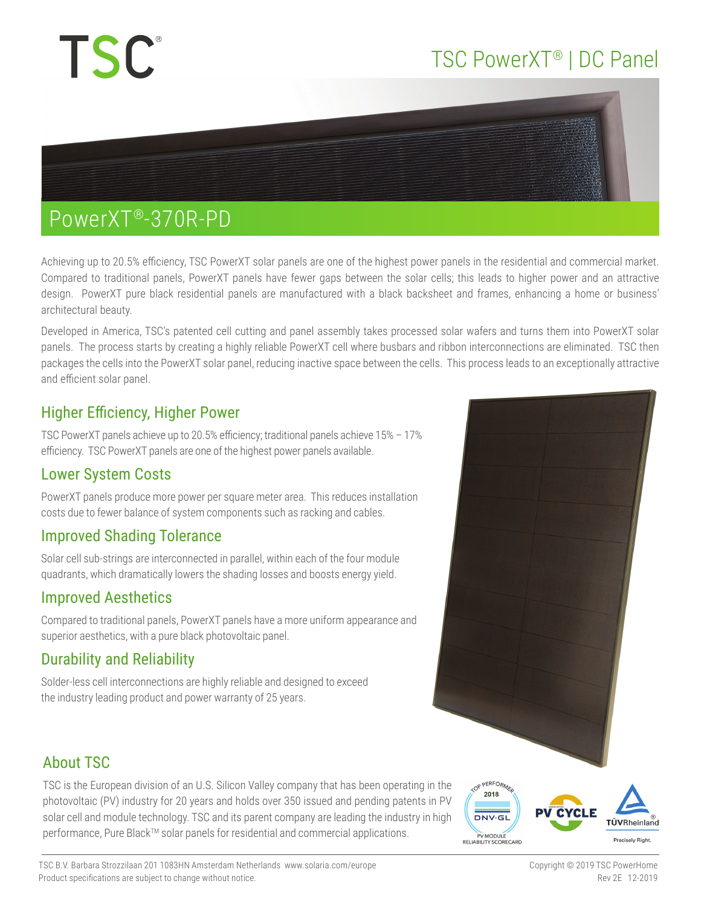# **TSC**

# TSC PowerXT® | DC Panel



### PowerXT®-370R-PD

Achieving up to 20.5% efficiency, TSC PowerXT solar panels are one of the highest power panels in the residential and commercial market. Compared to traditional panels, PowerXT panels have fewer gaps between the solar cells; this leads to higher power and an attractive design. PowerXT pure black residential panels are manufactured with a black backsheet and frames, enhancing a home or business' architectural beauty.

Developed in America, TSC's patented cell cutting and panel assembly takes processed solar wafers and turns them into PowerXT solar panels. The process starts by creating a highly reliable PowerXT cell where busbars and ribbon interconnections are eliminated. TSC then packages the cells into the PowerXT solar panel, reducing inactive space between the cells. This process leads to an exceptionally attractive and efficient solar panel.

#### Higher Efficiency, Higher Power

TSC PowerXT panels achieve up to 20.5% efficiency; traditional panels achieve 15% – 17% efficiency. TSC PowerXT panels are one of the highest power panels available.

#### Lower System Costs

PowerXT panels produce more power per square meter area. This reduces installation costs due to fewer balance of system components such as racking and cables.

#### Improved Shading Tolerance

Solar cell sub-strings are interconnected in parallel, within each of the four module quadrants, which dramatically lowers the shading losses and boosts energy yield.

#### Improved Aesthetics

Compared to traditional panels, PowerXT panels have a more uniform appearance and superior aesthetics, with a pure black photovoltaic panel.

#### Durability and Reliability

Solder-less cell interconnections are highly reliable and designed to exceed the industry leading product and power warranty of 25 years.



### About TSC

TSC is the European division of an U.S. Silicon Valley company that has been operating in the photovoltaic (PV) industry for 20 years and holds over 350 issued and pending patents in PV solar cell and module technology. TSC and its parent company are leading the industry in high performance, Pure Black™ solar panels for residential and commercial applications.